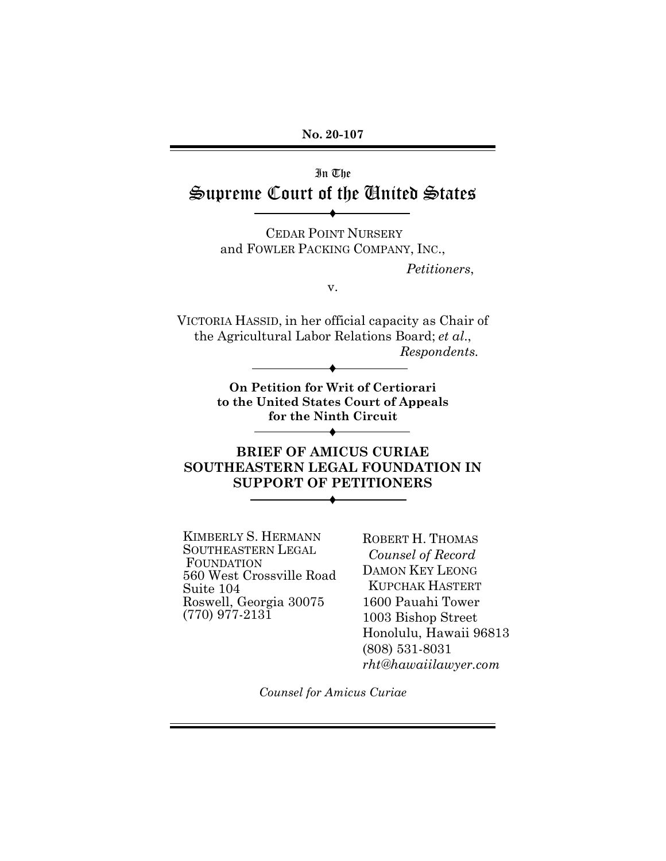**No. 20-107**

# In The Supreme Court of the United States

CEDAR POINT NURSERY and FOWLER PACKING COMPANY, INC.,

♦

*Petitioners*,

v.

VICTORIA HASSID, in her official capacity as Chair of the Agricultural Labor Relations Board; *et al*., *Respondents.* ♦

> **On Petition for Writ of Certiorari to the United States Court of Appeals for the Ninth Circuit**

> > ♦

**BRIEF OF AMICUS CURIAE SOUTHEASTERN LEGAL FOUNDATION IN SUPPORT OF PETITIONERS** ♦

KIMBERLY S. HERMANN SOUTHEASTERN LEGAL FOUNDATION 560 West Crossville Road Suite 104 Roswell, Georgia 30075 (770) 977-2131

ROBERT H. THOMAS *Counsel of Record* DAMON KEY LEONG KUPCHAK HASTERT 1600 Pauahi Tower 1003 Bishop Street Honolulu, Hawaii 96813 (808) 531-8031 *rht@hawaiilawyer.com*

*Counsel for Amicus Curiae*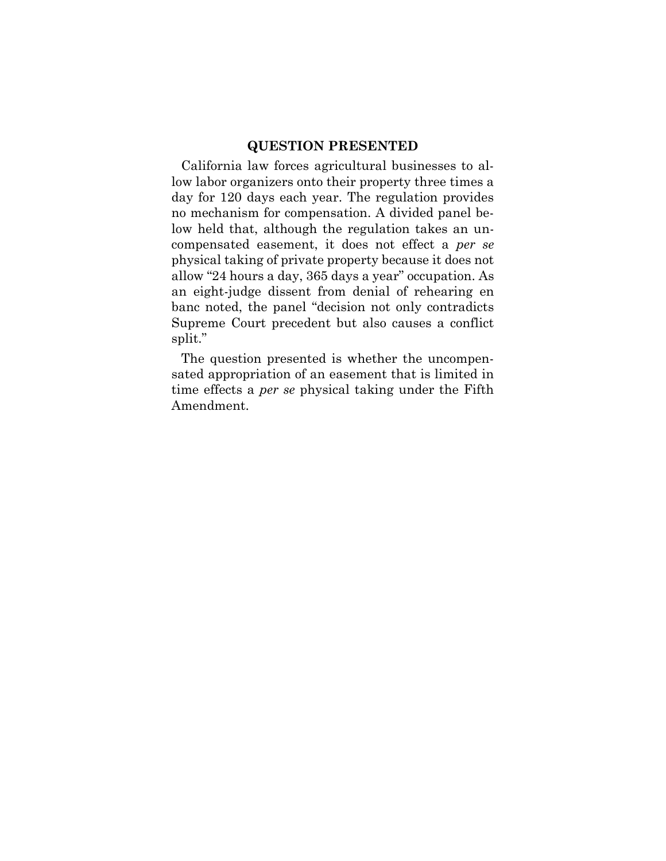#### **QUESTION PRESENTED**

California law forces agricultural businesses to allow labor organizers onto their property three times a day for 120 days each year. The regulation provides no mechanism for compensation. A divided panel below held that, although the regulation takes an uncompensated easement, it does not effect a *per se* physical taking of private property because it does not allow "24 hours a day, 365 days a year" occupation. As an eight-judge dissent from denial of rehearing en banc noted, the panel "decision not only contradicts Supreme Court precedent but also causes a conflict split."

The question presented is whether the uncompensated appropriation of an easement that is limited in time effects a *per se* physical taking under the Fifth Amendment.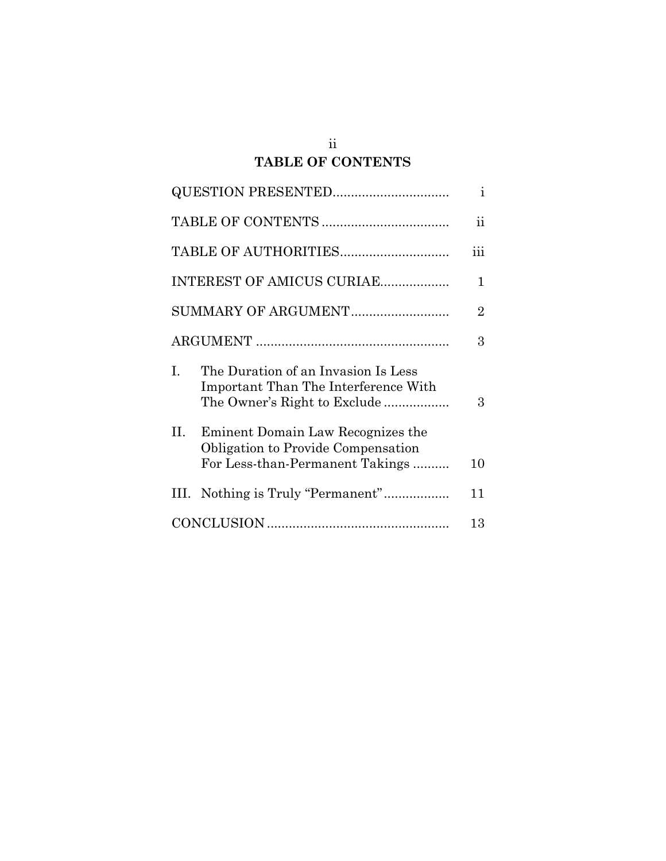## ii **TABLE OF CONTENTS**

| <b>QUESTION PRESENTED</b>                                                            |                                 | $\mathbf{i}$   |
|--------------------------------------------------------------------------------------|---------------------------------|----------------|
|                                                                                      |                                 | $\ddot{\rm n}$ |
|                                                                                      |                                 | iii            |
| INTEREST OF AMICUS CURIAE                                                            |                                 | 1              |
| SUMMARY OF ARGUMENT                                                                  |                                 | 2              |
|                                                                                      |                                 | 3              |
| I.<br>The Duration of an Invasion Is Less<br>Important Than The Interference With    | The Owner's Right to Exclude    | 3              |
| Н.<br>Eminent Domain Law Recognizes the<br><b>Obligation to Provide Compensation</b> | For Less-than-Permanent Takings | 10             |
|                                                                                      |                                 |                |
| III.                                                                                 |                                 | 11             |
|                                                                                      |                                 | 13             |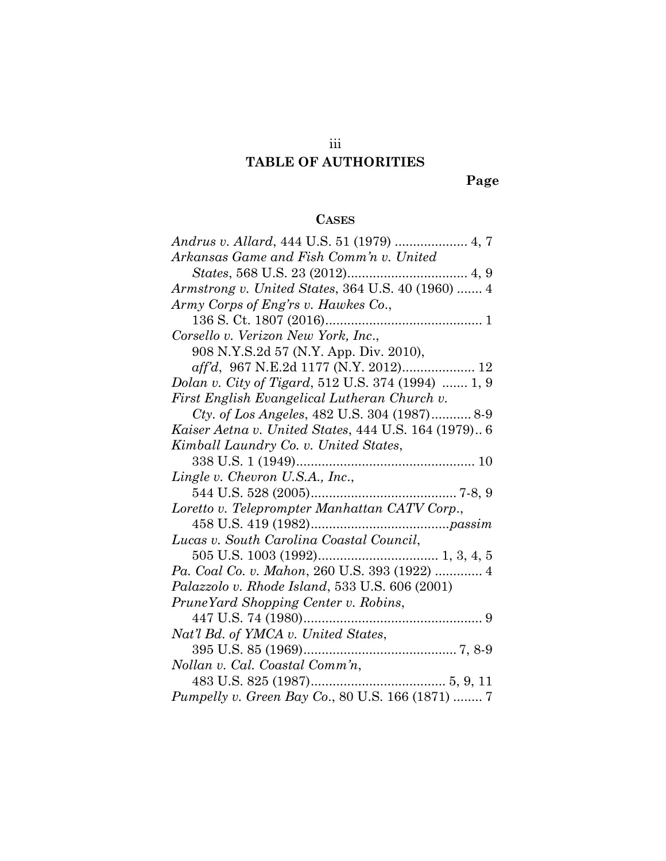# iii **TABLE OF AUTHORITIES**

**Page**

# **CASES**

| Arkansas Game and Fish Comm'n v. United              |
|------------------------------------------------------|
|                                                      |
| Armstrong v. United States, 364 U.S. 40 (1960)  4    |
| Army Corps of Eng'rs v. Hawkes Co.,                  |
|                                                      |
| Corsello v. Verizon New York, Inc.,                  |
| 908 N.Y.S.2d 57 (N.Y. App. Div. 2010),               |
| aff'd, 967 N.E.2d 1177 (N.Y. 2012) 12                |
| Dolan v. City of Tigard, 512 U.S. 374 (1994)  1, 9   |
| First English Evangelical Lutheran Church v.         |
| Cty. of Los Angeles, 482 U.S. 304 (1987) 8-9         |
| Kaiser Aetna v. United States, 444 U.S. 164 (1979) 6 |
| Kimball Laundry Co. v. United States,                |
|                                                      |
| Lingle v. Chevron U.S.A., Inc.,                      |
|                                                      |
| Loretto v. Teleprompter Manhattan CATV Corp.,        |
|                                                      |
| Lucas v. South Carolina Coastal Council,             |
|                                                      |
| Pa. Coal Co. v. Mahon, 260 U.S. 393 (1922)  4        |
| Palazzolo v. Rhode Island, 533 U.S. 606 (2001)       |
| PruneYard Shopping Center v. Robins,                 |
|                                                      |
| Nat'l Bd. of YMCA v. United States,                  |
|                                                      |
|                                                      |
|                                                      |
| Pumpelly v. Green Bay Co., 80 U.S. 166 (1871)  7     |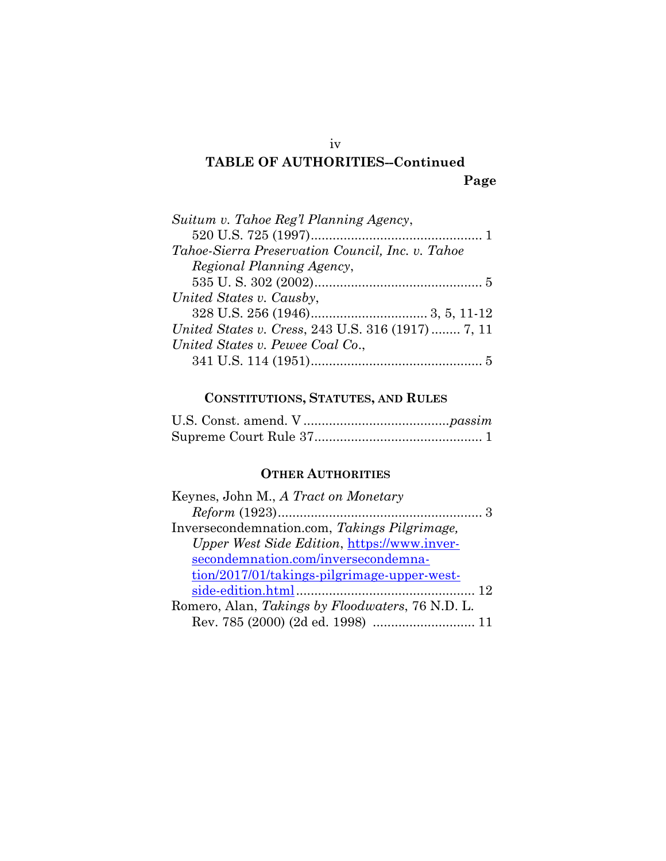# **TABLE OF AUTHORITIES--Continued Page**

# **CONSTITUTIONS, STATUTES, AND RULES**

# **OTHER AUTHORITIES**

| Keynes, John M., A Tract on Monetary                     |
|----------------------------------------------------------|
|                                                          |
| Inversecondemnation.com, Takings Pilgrimage,             |
| Upper West Side Edition, https://www.inver-              |
| secondemnation.com/inversecondemna-                      |
| tion/2017/01/takings-pilgrimage-upper-west-              |
|                                                          |
| Romero, Alan, <i>Takings by Floodwaters</i> , 76 N.D. L. |
| Rev. 785 (2000) (2d ed. 1998)  11                        |
|                                                          |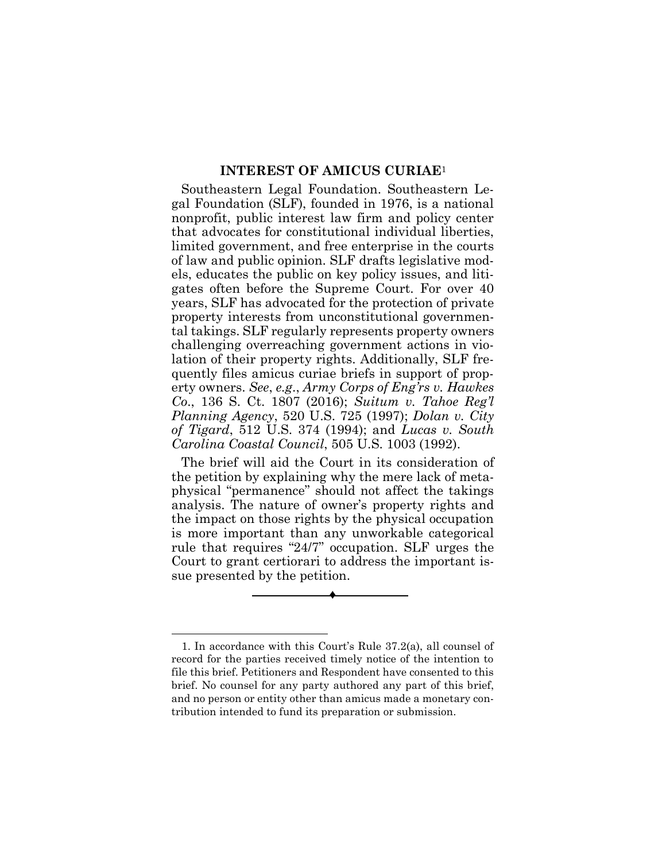#### **INTEREST OF AMICUS CURIAE**<sup>1</sup>

Southeastern Legal Foundation. Southeastern Legal Foundation (SLF), founded in 1976, is a national nonprofit, public interest law firm and policy center that advocates for constitutional individual liberties, limited government, and free enterprise in the courts of law and public opinion. SLF drafts legislative models, educates the public on key policy issues, and litigates often before the Supreme Court. For over 40 years, SLF has advocated for the protection of private property interests from unconstitutional governmental takings. SLF regularly represents property owners challenging overreaching government actions in violation of their property rights. Additionally, SLF frequently files amicus curiae briefs in support of property owners. *See*, *e.g*., *Army Corps of Eng'rs v. Hawkes Co*., 136 S. Ct. 1807 (2016); *Suitum v. Tahoe Reg'l Planning Agency*, 520 U.S. 725 (1997); *Dolan v. City of Tigard*, 512 U.S. 374 (1994); and *Lucas v. South Carolina Coastal Council*, 505 U.S. 1003 (1992).

The brief will aid the Court in its consideration of the petition by explaining why the mere lack of metaphysical "permanence" should not affect the takings analysis. The nature of owner's property rights and the impact on those rights by the physical occupation is more important than any unworkable categorical rule that requires "24/7" occupation. SLF urges the Court to grant certiorari to address the important issue presented by the petition.



<sup>1.</sup> In accordance with this Court's Rule 37.2(a), all counsel of record for the parties received timely notice of the intention to file this brief. Petitioners and Respondent have consented to this brief. No counsel for any party authored any part of this brief, and no person or entity other than amicus made a monetary contribution intended to fund its preparation or submission.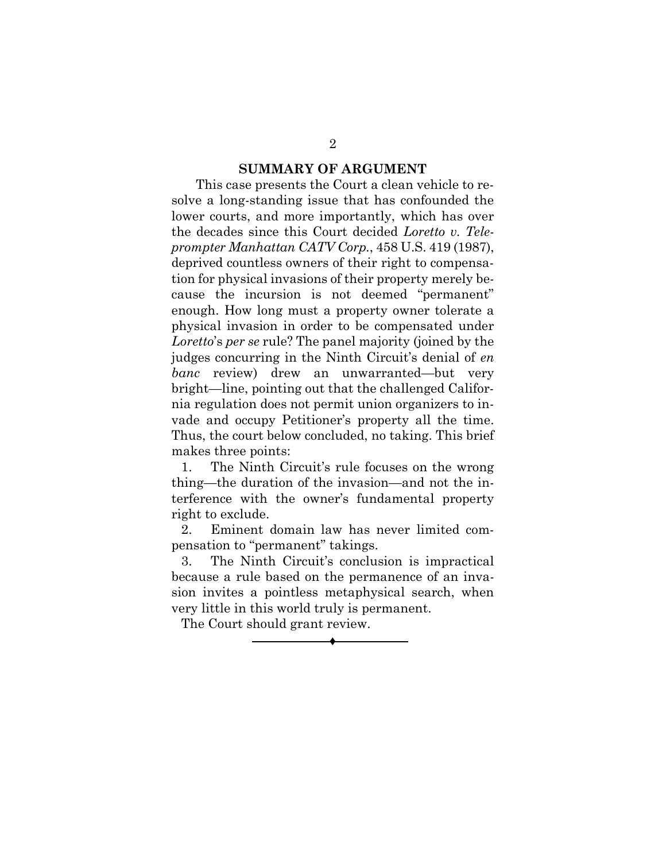#### **SUMMARY OF ARGUMENT**

 This case presents the Court a clean vehicle to resolve a long-standing issue that has confounded the lower courts, and more importantly, which has over the decades since this Court decided *Loretto v. Teleprompter Manhattan CATV Corp.*, 458 U.S. 419 (1987), deprived countless owners of their right to compensation for physical invasions of their property merely because the incursion is not deemed "permanent" enough. How long must a property owner tolerate a physical invasion in order to be compensated under *Loretto*'s *per se* rule? The panel majority (joined by the judges concurring in the Ninth Circuit's denial of *en banc* review) drew an unwarranted—but very bright—line, pointing out that the challenged California regulation does not permit union organizers to invade and occupy Petitioner's property all the time. Thus, the court below concluded, no taking. This brief makes three points:

1. The Ninth Circuit's rule focuses on the wrong thing—the duration of the invasion—and not the interference with the owner's fundamental property right to exclude.

2. Eminent domain law has never limited compensation to "permanent" takings.

3. The Ninth Circuit's conclusion is impractical because a rule based on the permanence of an invasion invites a pointless metaphysical search, when very little in this world truly is permanent.

♦

The Court should grant review.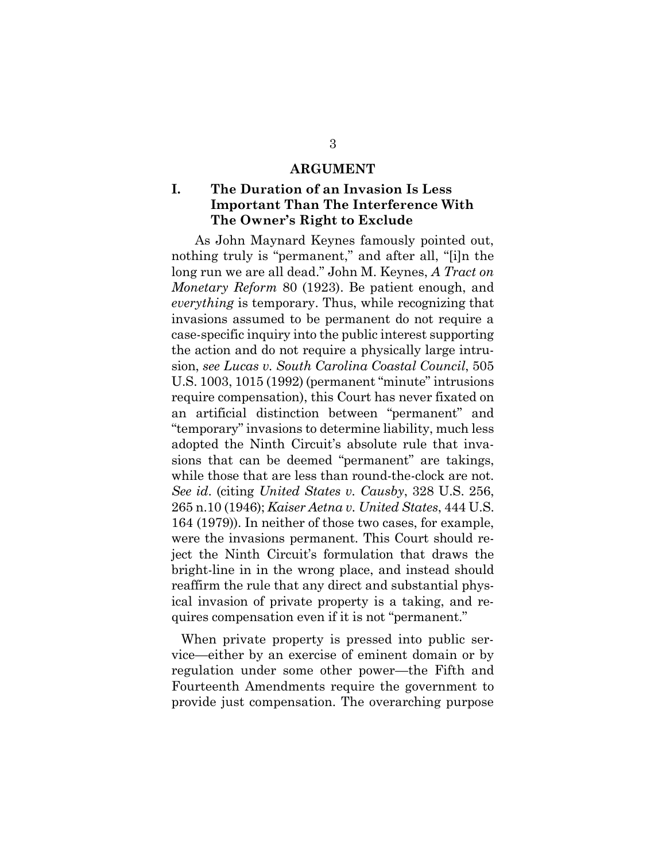#### **ARGUMENT**

### **I. The Duration of an Invasion Is Less Important Than The Interference With The Owner's Right to Exclude**

As John Maynard Keynes famously pointed out, nothing truly is "permanent," and after all, "[i]n the long run we are all dead." John M. Keynes, *A Tract on Monetary Reform* 80 (1923). Be patient enough, and *everything* is temporary. Thus, while recognizing that invasions assumed to be permanent do not require a case-specific inquiry into the public interest supporting the action and do not require a physically large intrusion, *see Lucas v. South Carolina Coastal Council*, 505 U.S. 1003, 1015 (1992) (permanent "minute" intrusions require compensation), this Court has never fixated on an artificial distinction between "permanent" and "temporary" invasions to determine liability, much less adopted the Ninth Circuit's absolute rule that invasions that can be deemed "permanent" are takings, while those that are less than round-the-clock are not. *See id*. (citing *United States v. Causby*, 328 U.S. 256, 265 n.10 (1946); *Kaiser Aetna v. United States*, 444 U.S. 164 (1979)). In neither of those two cases, for example, were the invasions permanent. This Court should reject the Ninth Circuit's formulation that draws the bright-line in in the wrong place, and instead should reaffirm the rule that any direct and substantial physical invasion of private property is a taking, and requires compensation even if it is not "permanent."

When private property is pressed into public service—either by an exercise of eminent domain or by regulation under some other power—the Fifth and Fourteenth Amendments require the government to provide just compensation. The overarching purpose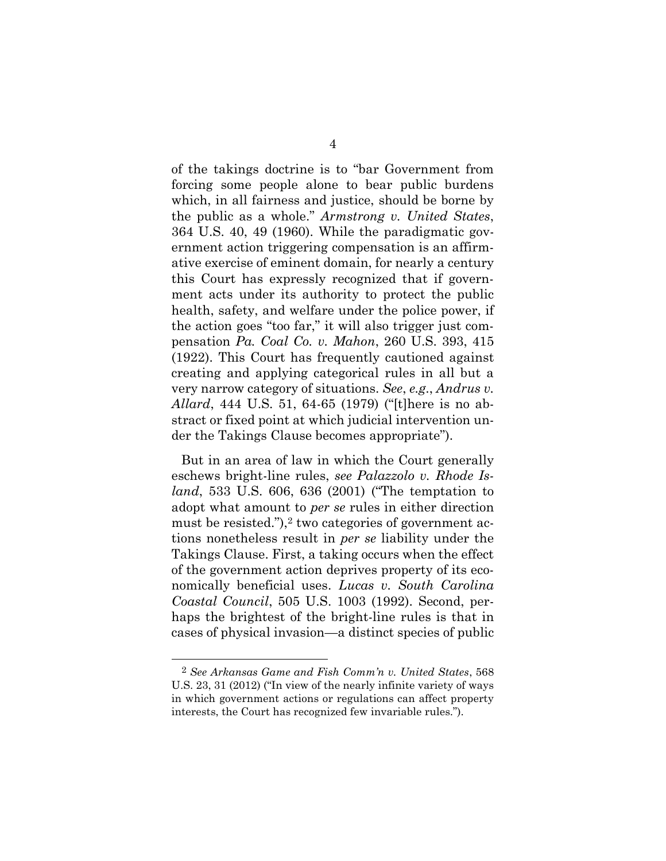of the takings doctrine is to "bar Government from forcing some people alone to bear public burdens which, in all fairness and justice, should be borne by the public as a whole." *Armstrong v. United States*, 364 U.S. 40, 49 (1960). While the paradigmatic government action triggering compensation is an affirmative exercise of eminent domain, for nearly a century this Court has expressly recognized that if government acts under its authority to protect the public health, safety, and welfare under the police power, if the action goes "too far," it will also trigger just compensation *Pa. Coal Co. v. Mahon*, 260 U.S. 393, 415 (1922). This Court has frequently cautioned against creating and applying categorical rules in all but a very narrow category of situations. *See*, *e.g*., *Andrus v. Allard*, 444 U.S. 51, 64-65 (1979) ("[t]here is no abstract or fixed point at which judicial intervention under the Takings Clause becomes appropriate").

But in an area of law in which the Court generally eschews bright-line rules, *see Palazzolo v. Rhode Island*, 533 U.S. 606, 636 (2001) ("The temptation to adopt what amount to *per se* rules in either direction must be resisted."), $2$  two categories of government actions nonetheless result in *per se* liability under the Takings Clause. First, a taking occurs when the effect of the government action deprives property of its economically beneficial uses. *Lucas v. South Carolina Coastal Council*, 505 U.S. 1003 (1992). Second, perhaps the brightest of the bright-line rules is that in cases of physical invasion—a distinct species of public

<sup>2</sup> *See Arkansas Game and Fish Comm'n v. United States*, 568 U.S. 23, 31 (2012) ("In view of the nearly infinite variety of ways in which government actions or regulations can affect property interests, the Court has recognized few invariable rules.").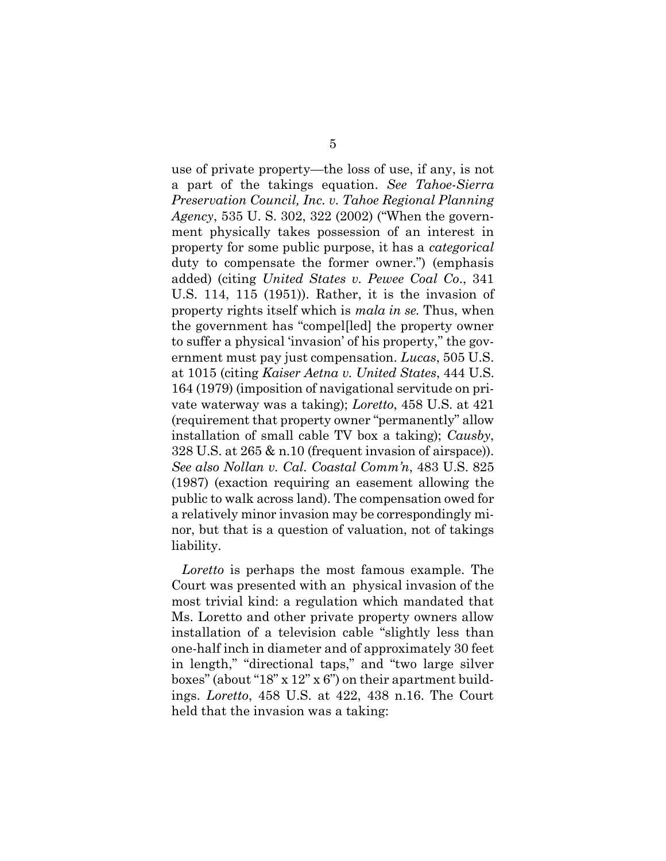use of private property—the loss of use, if any, is not a part of the takings equation. *See Tahoe-Sierra Preservation Council, Inc. v. Tahoe Regional Planning Agency*, 535 U. S. 302, 322 (2002) ("When the government physically takes possession of an interest in property for some public purpose, it has a *categorical* duty to compensate the former owner.") (emphasis added) (citing *United States v. Pewee Coal Co*., 341 U.S. 114, 115 (1951)). Rather, it is the invasion of property rights itself which is *mala in se.* Thus, when the government has "compel[led] the property owner to suffer a physical 'invasion' of his property," the government must pay just compensation. *Lucas*, 505 U.S. at 1015 (citing *Kaiser Aetna v. United States*, 444 U.S. 164 (1979) (imposition of navigational servitude on private waterway was a taking); *Loretto*, 458 U.S. at 421 (requirement that property owner "permanently" allow installation of small cable TV box a taking); *Causby*, 328 U.S. at 265 & n.10 (frequent invasion of airspace)). *See also Nollan v. Cal. Coastal Comm'n*, 483 U.S. 825 (1987) (exaction requiring an easement allowing the public to walk across land). The compensation owed for a relatively minor invasion may be correspondingly minor, but that is a question of valuation, not of takings liability.

*Loretto* is perhaps the most famous example. The Court was presented with an physical invasion of the most trivial kind: a regulation which mandated that Ms. Loretto and other private property owners allow installation of a television cable "slightly less than one-half inch in diameter and of approximately 30 feet in length," "directional taps," and "two large silver boxes" (about "18" x 12" x 6") on their apartment buildings. *Loretto*, 458 U.S. at 422, 438 n.16. The Court held that the invasion was a taking: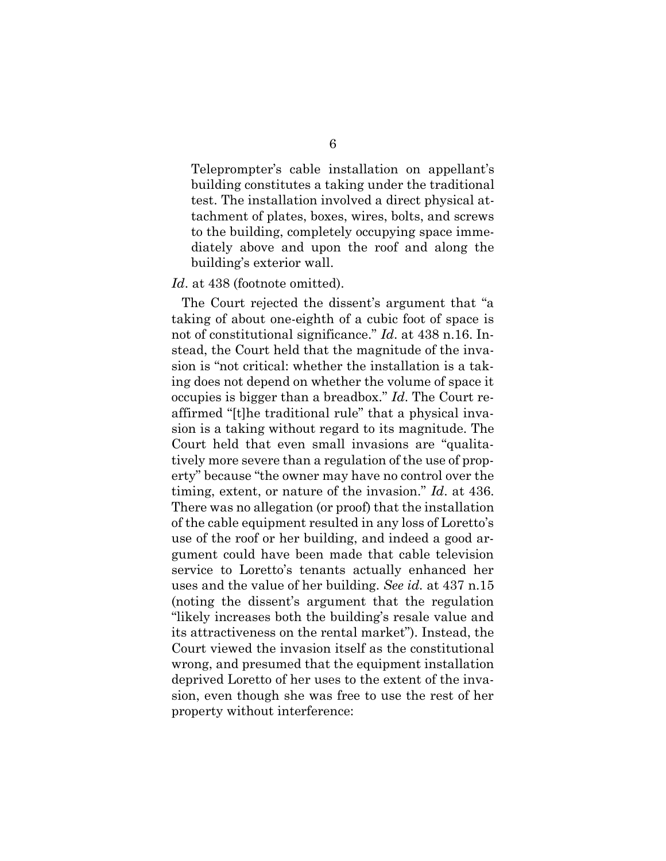Teleprompter's cable installation on appellant's building constitutes a taking under the traditional test. The installation involved a direct physical attachment of plates, boxes, wires, bolts, and screws to the building, completely occupying space immediately above and upon the roof and along the building's exterior wall.

#### *Id*. at 438 (footnote omitted).

The Court rejected the dissent's argument that "a taking of about one-eighth of a cubic foot of space is not of constitutional significance." *Id*. at 438 n.16. Instead, the Court held that the magnitude of the invasion is "not critical: whether the installation is a taking does not depend on whether the volume of space it occupies is bigger than a breadbox." *Id*. The Court reaffirmed "[t]he traditional rule" that a physical invasion is a taking without regard to its magnitude. The Court held that even small invasions are "qualitatively more severe than a regulation of the use of property" because "the owner may have no control over the timing, extent, or nature of the invasion." *Id*. at 436. There was no allegation (or proof) that the installation of the cable equipment resulted in any loss of Loretto's use of the roof or her building, and indeed a good argument could have been made that cable television service to Loretto's tenants actually enhanced her uses and the value of her building. *See id.* at 437 n.15 (noting the dissent's argument that the regulation "likely increases both the building's resale value and its attractiveness on the rental market"). Instead, the Court viewed the invasion itself as the constitutional wrong, and presumed that the equipment installation deprived Loretto of her uses to the extent of the invasion, even though she was free to use the rest of her property without interference: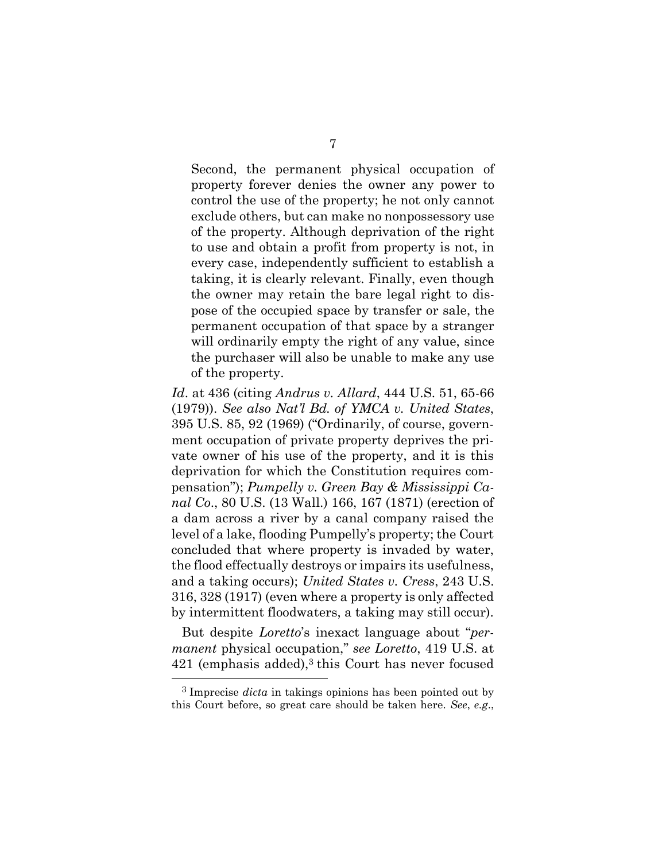Second, the permanent physical occupation of property forever denies the owner any power to control the use of the property; he not only cannot exclude others, but can make no nonpossessory use of the property. Although deprivation of the right to use and obtain a profit from property is not, in every case, independently sufficient to establish a taking, it is clearly relevant. Finally, even though the owner may retain the bare legal right to dispose of the occupied space by transfer or sale, the permanent occupation of that space by a stranger will ordinarily empty the right of any value, since the purchaser will also be unable to make any use of the property.

*Id*. at 436 (citing *Andrus v. Allard*, 444 U.S. 51, 65-66 (1979)). *See also Nat'l Bd. of YMCA v. United States*, 395 U.S. 85, 92 (1969) ("Ordinarily, of course, government occupation of private property deprives the private owner of his use of the property, and it is this deprivation for which the Constitution requires compensation"); *Pumpelly v. Green Bay & Mississippi Canal Co*., 80 U.S. (13 Wall.) 166, 167 (1871) (erection of a dam across a river by a canal company raised the level of a lake, flooding Pumpelly's property; the Court concluded that where property is invaded by water, the flood effectually destroys or impairs its usefulness, and a taking occurs); *United States v. Cress*, 243 U.S. 316, 328 (1917) (even where a property is only affected by intermittent floodwaters, a taking may still occur).

But despite *Loretto*'s inexact language about "*permanent* physical occupation," *see Loretto*, 419 U.S. at 421 (emphasis added), <sup>3</sup> this Court has never focused

<sup>3</sup> Imprecise *dicta* in takings opinions has been pointed out by this Court before, so great care should be taken here. *See*, *e.g*.,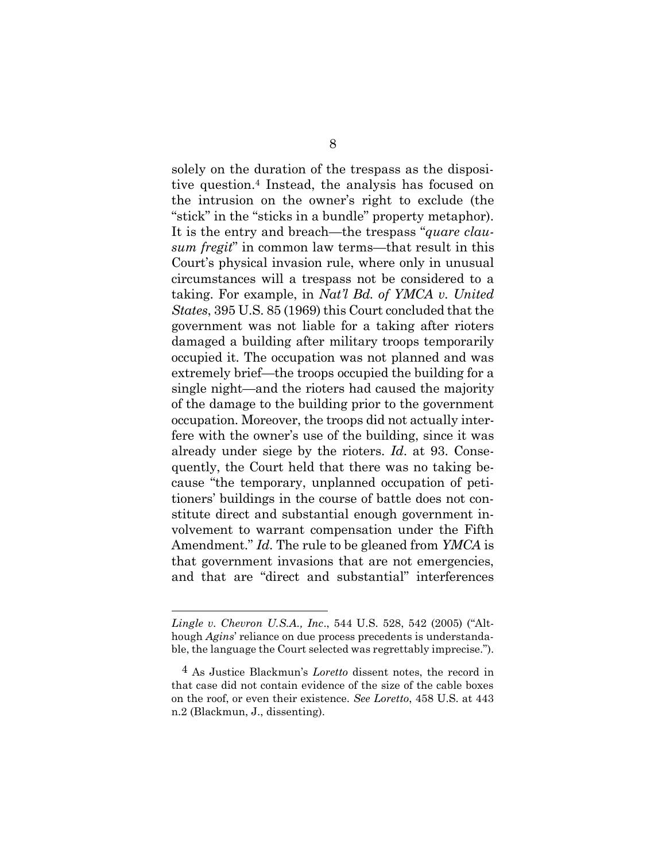solely on the duration of the trespass as the dispositive question.<sup>4</sup> Instead, the analysis has focused on the intrusion on the owner's right to exclude (the "stick" in the "sticks in a bundle" property metaphor). It is the entry and breach—the trespass "*quare clausum fregit*" in common law terms—that result in this Court's physical invasion rule, where only in unusual circumstances will a trespass not be considered to a taking. For example, in *Nat'l Bd. of YMCA v. United States*, 395 U.S. 85 (1969) this Court concluded that the government was not liable for a taking after rioters damaged a building after military troops temporarily occupied it. The occupation was not planned and was extremely brief—the troops occupied the building for a single night—and the rioters had caused the majority of the damage to the building prior to the government occupation. Moreover, the troops did not actually interfere with the owner's use of the building, since it was already under siege by the rioters. *Id*. at 93. Consequently, the Court held that there was no taking because "the temporary, unplanned occupation of petitioners' buildings in the course of battle does not constitute direct and substantial enough government involvement to warrant compensation under the Fifth Amendment." *Id*. The rule to be gleaned from *YMCA* is that government invasions that are not emergencies, and that are "direct and substantial" interferences

*Lingle v. Chevron U.S.A., Inc*., 544 U.S. 528, 542 (2005) ("Although *Agins*' reliance on due process precedents is understandable, the language the Court selected was regrettably imprecise.").

<sup>4</sup> As Justice Blackmun's *Loretto* dissent notes, the record in that case did not contain evidence of the size of the cable boxes on the roof, or even their existence. *See Loretto*, 458 U.S. at 443 n.2 (Blackmun, J., dissenting).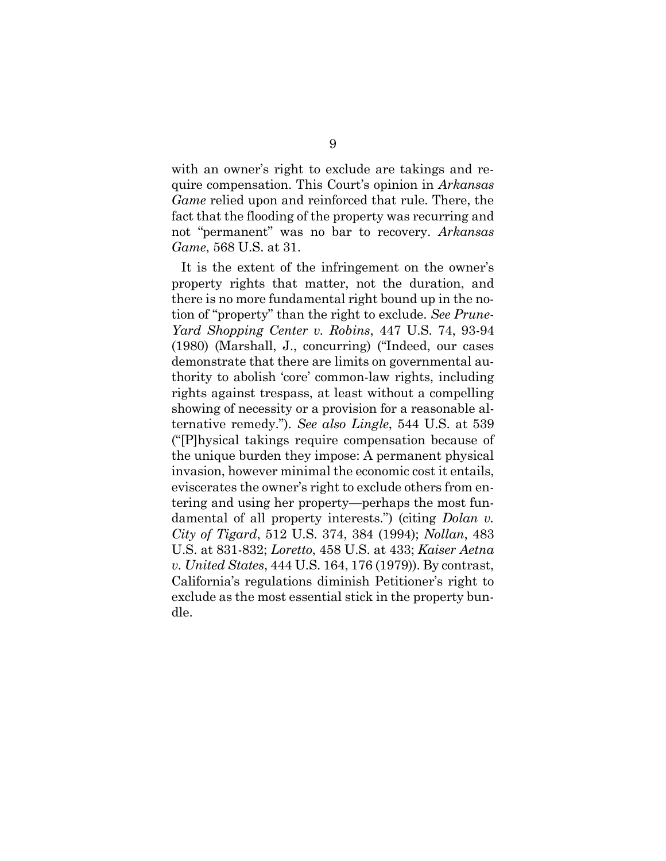with an owner's right to exclude are takings and require compensation. This Court's opinion in *Arkansas Game* relied upon and reinforced that rule. There, the fact that the flooding of the property was recurring and not "permanent" was no bar to recovery. *Arkansas Game*, 568 U.S. at 31.

It is the extent of the infringement on the owner's property rights that matter, not the duration, and there is no more fundamental right bound up in the notion of "property" than the right to exclude. *See Prune-Yard Shopping Center v. Robins*, 447 U.S. 74, 93-94 (1980) (Marshall, J., concurring) ("Indeed, our cases demonstrate that there are limits on governmental authority to abolish 'core' common-law rights, including rights against trespass, at least without a compelling showing of necessity or a provision for a reasonable alternative remedy."). *See also Lingle*, 544 U.S. at 539 ("[P]hysical takings require compensation because of the unique burden they impose: A permanent physical invasion, however minimal the economic cost it entails, eviscerates the owner's right to exclude others from entering and using her property—perhaps the most fundamental of all property interests.") (citing *Dolan v. City of Tigard*, 512 U.S. 374, 384 (1994); *Nollan*, 483 U.S. at 831-832; *Loretto*, 458 U.S. at 433; *Kaiser Aetna v. United States*, 444 U.S. 164, 176 (1979)). By contrast, California's regulations diminish Petitioner's right to exclude as the most essential stick in the property bundle.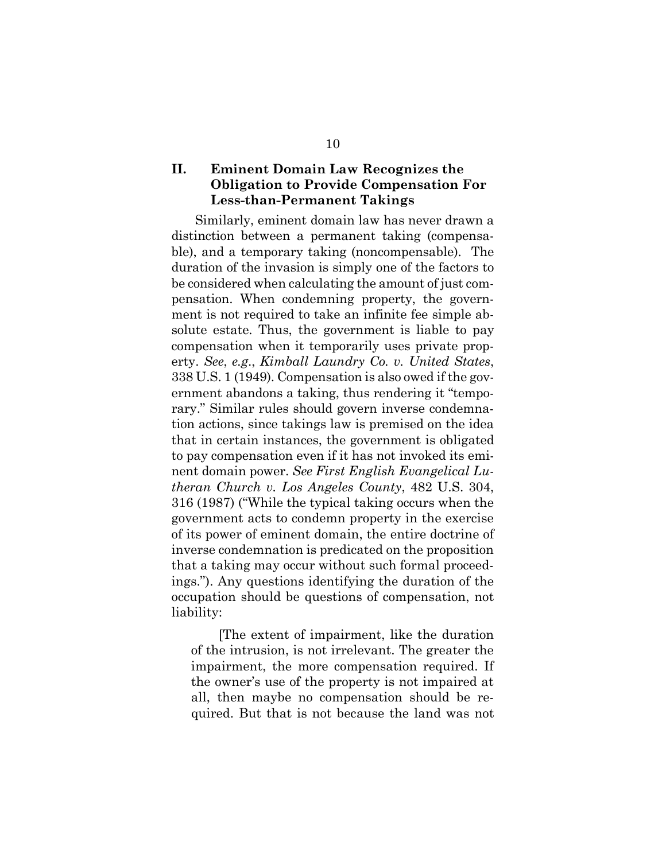### **II. Eminent Domain Law Recognizes the Obligation to Provide Compensation For Less-than-Permanent Takings**

Similarly, eminent domain law has never drawn a distinction between a permanent taking (compensable), and a temporary taking (noncompensable). The duration of the invasion is simply one of the factors to be considered when calculating the amount of just compensation. When condemning property, the government is not required to take an infinite fee simple absolute estate. Thus, the government is liable to pay compensation when it temporarily uses private property. *See*, *e.g*., *Kimball Laundry Co. v. United States*, 338 U.S. 1 (1949). Compensation is also owed if the government abandons a taking, thus rendering it "temporary." Similar rules should govern inverse condemnation actions, since takings law is premised on the idea that in certain instances, the government is obligated to pay compensation even if it has not invoked its eminent domain power. *See First English Evangelical Lutheran Church v. Los Angeles County*, 482 U.S. 304, 316 (1987) ("While the typical taking occurs when the government acts to condemn property in the exercise of its power of eminent domain, the entire doctrine of inverse condemnation is predicated on the proposition that a taking may occur without such formal proceedings."). Any questions identifying the duration of the occupation should be questions of compensation, not liability:

[The extent of impairment, like the duration of the intrusion, is not irrelevant. The greater the impairment, the more compensation required. If the owner's use of the property is not impaired at all, then maybe no compensation should be required. But that is not because the land was not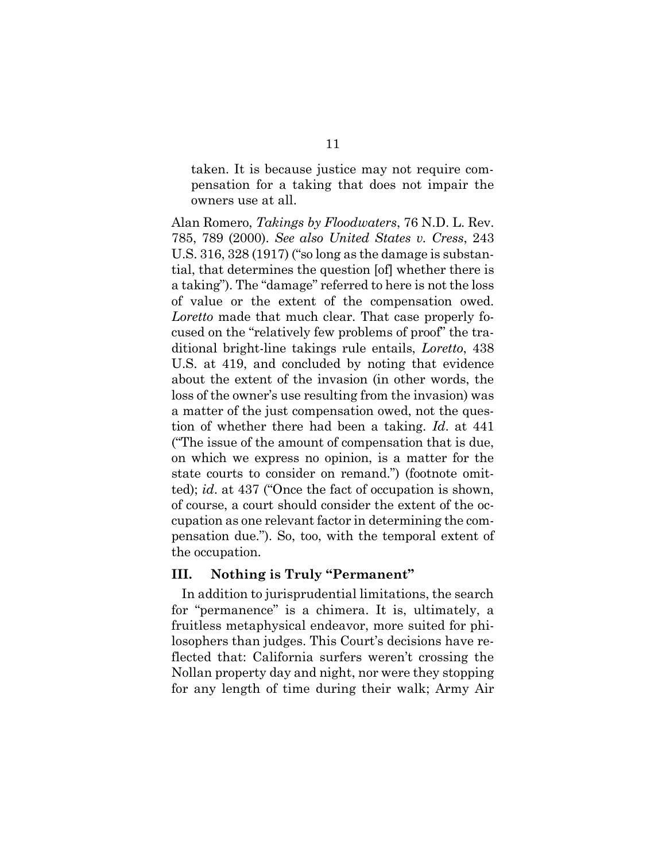taken. It is because justice may not require compensation for a taking that does not impair the owners use at all.

Alan Romero, *Takings by Floodwaters*, 76 N.D. L. Rev. 785, 789 (2000). *See also United States v. Cress*, 243 U.S. 316, 328 (1917) ("so long as the damage is substantial, that determines the question [of] whether there is a taking"). The "damage" referred to here is not the loss of value or the extent of the compensation owed. *Loretto* made that much clear. That case properly focused on the "relatively few problems of proof" the traditional bright-line takings rule entails, *Loretto*, 438 U.S. at 419, and concluded by noting that evidence about the extent of the invasion (in other words, the loss of the owner's use resulting from the invasion) was a matter of the just compensation owed, not the question of whether there had been a taking. *Id*. at 441 ("The issue of the amount of compensation that is due, on which we express no opinion, is a matter for the state courts to consider on remand.") (footnote omitted); *id*. at 437 ("Once the fact of occupation is shown, of course, a court should consider the extent of the occupation as one relevant factor in determining the compensation due."). So, too, with the temporal extent of the occupation.

#### **III. Nothing is Truly "Permanent"**

In addition to jurisprudential limitations, the search for "permanence" is a chimera. It is, ultimately, a fruitless metaphysical endeavor, more suited for philosophers than judges. This Court's decisions have reflected that: California surfers weren't crossing the Nollan property day and night, nor were they stopping for any length of time during their walk; Army Air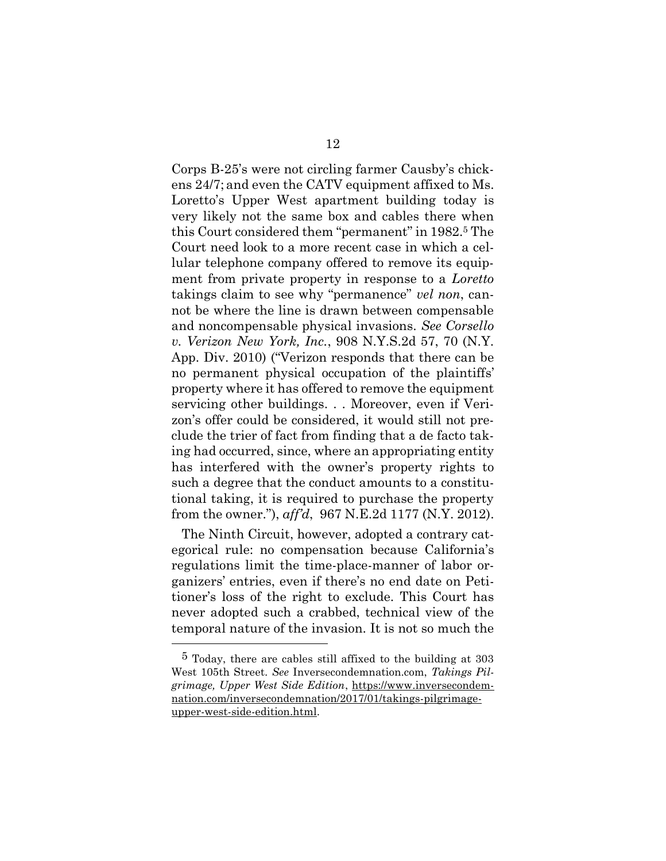Corps B-25's were not circling farmer Causby's chickens 24/7; and even the CATV equipment affixed to Ms. Loretto's Upper West apartment building today is very likely not the same box and cables there when this Court considered them "permanent" in 1982.<sup>5</sup> The Court need look to a more recent case in which a cellular telephone company offered to remove its equipment from private property in response to a *Loretto* takings claim to see why "permanence" *vel non*, cannot be where the line is drawn between compensable and noncompensable physical invasions. *See Corsello v. Verizon New York, Inc.*, 908 N.Y.S.2d 57, 70 (N.Y. App. Div. 2010) ("Verizon responds that there can be no permanent physical occupation of the plaintiffs' property where it has offered to remove the equipment servicing other buildings. . . Moreover, even if Verizon's offer could be considered, it would still not preclude the trier of fact from finding that a de facto taking had occurred, since, where an appropriating entity has interfered with the owner's property rights to such a degree that the conduct amounts to a constitutional taking, it is required to purchase the property from the owner."), *aff'd*, 967 N.E.2d 1177 (N.Y. 2012).

The Ninth Circuit, however, adopted a contrary categorical rule: no compensation because California's regulations limit the time-place-manner of labor organizers' entries, even if there's no end date on Petitioner's loss of the right to exclude. This Court has never adopted such a crabbed, technical view of the temporal nature of the invasion. It is not so much the

<sup>5</sup> Today, there are cables still affixed to the building at 303 West 105th Street. *See* Inversecondemnation.com, *Takings Pilgrimage, Upper West Side Edition*, [https://www.inversecondem](https://www.inversecondemnation.com/inversecondemnation/2017/01/takings-pilgrimage-upper-west-side-edition.html)[nation.com/inversecondemnation/2017/01/takings-pilgrimage](https://www.inversecondemnation.com/inversecondemnation/2017/01/takings-pilgrimage-upper-west-side-edition.html)[upper-west-side-edition.html.](https://www.inversecondemnation.com/inversecondemnation/2017/01/takings-pilgrimage-upper-west-side-edition.html)